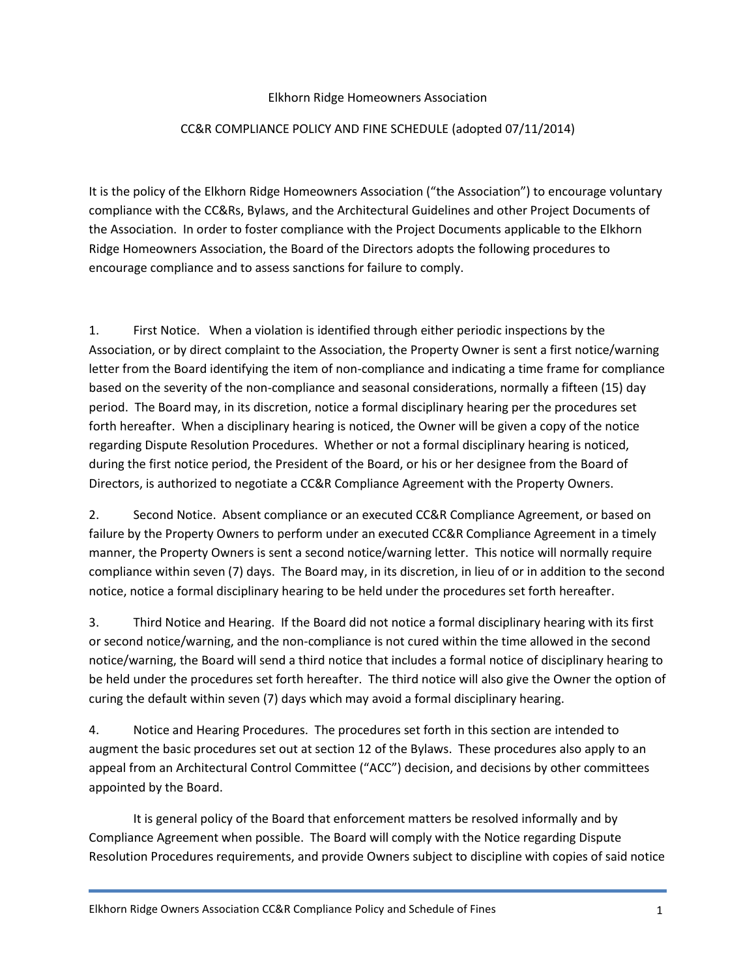## Elkhorn Ridge Homeowners Association

## CC&R COMPLIANCE POLICY AND FINE SCHEDULE (adopted 07/11/2014)

It is the policy of the Elkhorn Ridge Homeowners Association ("the Association") to encourage voluntary compliance with the CC&Rs, Bylaws, and the Architectural Guidelines and other Project Documents of the Association. In order to foster compliance with the Project Documents applicable to the Elkhorn Ridge Homeowners Association, the Board of the Directors adopts the following procedures to encourage compliance and to assess sanctions for failure to comply.

1. First Notice. When a violation is identified through either periodic inspections by the Association, or by direct complaint to the Association, the Property Owner is sent a first notice/warning letter from the Board identifying the item of non-compliance and indicating a time frame for compliance based on the severity of the non-compliance and seasonal considerations, normally a fifteen (15) day period. The Board may, in its discretion, notice a formal disciplinary hearing per the procedures set forth hereafter. When a disciplinary hearing is noticed, the Owner will be given a copy of the notice regarding Dispute Resolution Procedures. Whether or not a formal disciplinary hearing is noticed, during the first notice period, the President of the Board, or his or her designee from the Board of Directors, is authorized to negotiate a CC&R Compliance Agreement with the Property Owners.

2. Second Notice. Absent compliance or an executed CC&R Compliance Agreement, or based on failure by the Property Owners to perform under an executed CC&R Compliance Agreement in a timely manner, the Property Owners is sent a second notice/warning letter. This notice will normally require compliance within seven (7) days. The Board may, in its discretion, in lieu of or in addition to the second notice, notice a formal disciplinary hearing to be held under the procedures set forth hereafter.

3. Third Notice and Hearing. If the Board did not notice a formal disciplinary hearing with its first or second notice/warning, and the non-compliance is not cured within the time allowed in the second notice/warning, the Board will send a third notice that includes a formal notice of disciplinary hearing to be held under the procedures set forth hereafter. The third notice will also give the Owner the option of curing the default within seven (7) days which may avoid a formal disciplinary hearing.

4. Notice and Hearing Procedures. The procedures set forth in this section are intended to augment the basic procedures set out at section 12 of the Bylaws. These procedures also apply to an appeal from an Architectural Control Committee ("ACC") decision, and decisions by other committees appointed by the Board.

It is general policy of the Board that enforcement matters be resolved informally and by Compliance Agreement when possible. The Board will comply with the Notice regarding Dispute Resolution Procedures requirements, and provide Owners subject to discipline with copies of said notice

Elkhorn Ridge Owners Association CC&R Compliance Policy and Schedule of Fines 1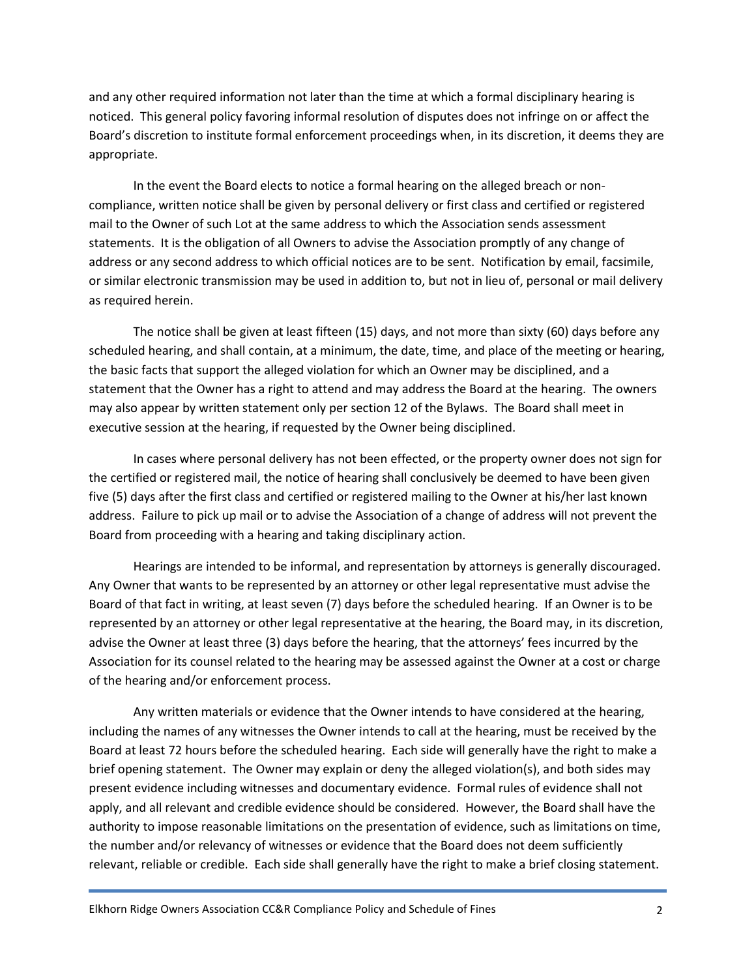and any other required information not later than the time at which a formal disciplinary hearing is noticed. This general policy favoring informal resolution of disputes does not infringe on or affect the Board's discretion to institute formal enforcement proceedings when, in its discretion, it deems they are appropriate.

In the event the Board elects to notice a formal hearing on the alleged breach or noncompliance, written notice shall be given by personal delivery or first class and certified or registered mail to the Owner of such Lot at the same address to which the Association sends assessment statements. It is the obligation of all Owners to advise the Association promptly of any change of address or any second address to which official notices are to be sent. Notification by email, facsimile, or similar electronic transmission may be used in addition to, but not in lieu of, personal or mail delivery as required herein.

The notice shall be given at least fifteen (15) days, and not more than sixty (60) days before any scheduled hearing, and shall contain, at a minimum, the date, time, and place of the meeting or hearing, the basic facts that support the alleged violation for which an Owner may be disciplined, and a statement that the Owner has a right to attend and may address the Board at the hearing. The owners may also appear by written statement only per section 12 of the Bylaws. The Board shall meet in executive session at the hearing, if requested by the Owner being disciplined.

In cases where personal delivery has not been effected, or the property owner does not sign for the certified or registered mail, the notice of hearing shall conclusively be deemed to have been given five (5) days after the first class and certified or registered mailing to the Owner at his/her last known address. Failure to pick up mail or to advise the Association of a change of address will not prevent the Board from proceeding with a hearing and taking disciplinary action.

Hearings are intended to be informal, and representation by attorneys is generally discouraged. Any Owner that wants to be represented by an attorney or other legal representative must advise the Board of that fact in writing, at least seven (7) days before the scheduled hearing. If an Owner is to be represented by an attorney or other legal representative at the hearing, the Board may, in its discretion, advise the Owner at least three (3) days before the hearing, that the attorneys' fees incurred by the Association for its counsel related to the hearing may be assessed against the Owner at a cost or charge of the hearing and/or enforcement process.

Any written materials or evidence that the Owner intends to have considered at the hearing, including the names of any witnesses the Owner intends to call at the hearing, must be received by the Board at least 72 hours before the scheduled hearing. Each side will generally have the right to make a brief opening statement. The Owner may explain or deny the alleged violation(s), and both sides may present evidence including witnesses and documentary evidence. Formal rules of evidence shall not apply, and all relevant and credible evidence should be considered. However, the Board shall have the authority to impose reasonable limitations on the presentation of evidence, such as limitations on time, the number and/or relevancy of witnesses or evidence that the Board does not deem sufficiently relevant, reliable or credible. Each side shall generally have the right to make a brief closing statement.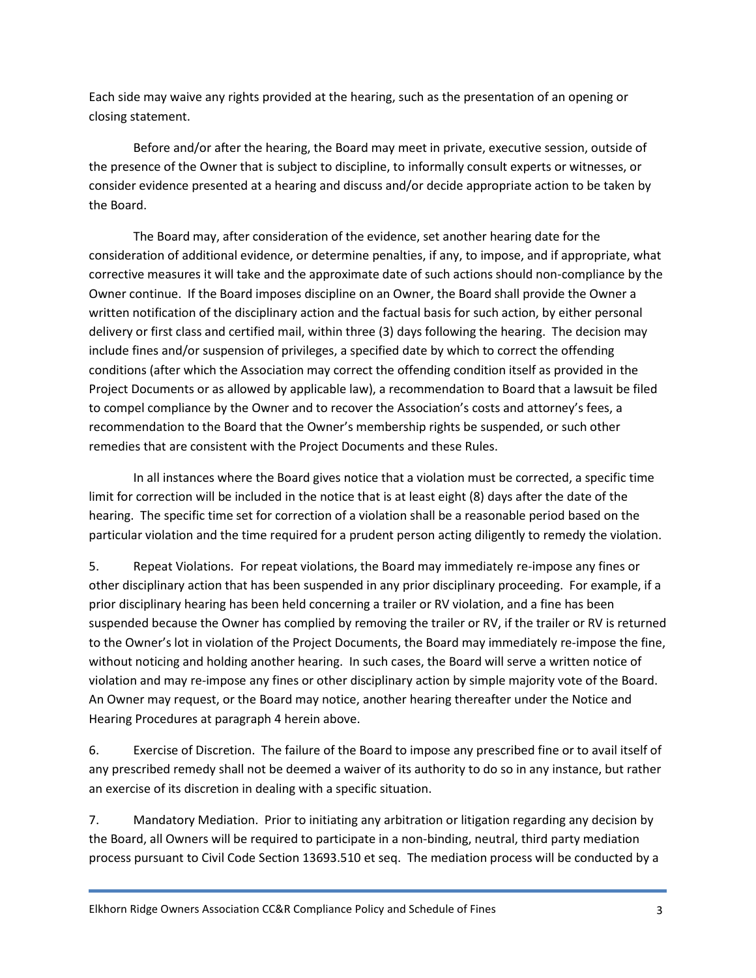Each side may waive any rights provided at the hearing, such as the presentation of an opening or closing statement.

Before and/or after the hearing, the Board may meet in private, executive session, outside of the presence of the Owner that is subject to discipline, to informally consult experts or witnesses, or consider evidence presented at a hearing and discuss and/or decide appropriate action to be taken by the Board.

The Board may, after consideration of the evidence, set another hearing date for the consideration of additional evidence, or determine penalties, if any, to impose, and if appropriate, what corrective measures it will take and the approximate date of such actions should non-compliance by the Owner continue. If the Board imposes discipline on an Owner, the Board shall provide the Owner a written notification of the disciplinary action and the factual basis for such action, by either personal delivery or first class and certified mail, within three (3) days following the hearing. The decision may include fines and/or suspension of privileges, a specified date by which to correct the offending conditions (after which the Association may correct the offending condition itself as provided in the Project Documents or as allowed by applicable law), a recommendation to Board that a lawsuit be filed to compel compliance by the Owner and to recover the Association's costs and attorney's fees, a recommendation to the Board that the Owner's membership rights be suspended, or such other remedies that are consistent with the Project Documents and these Rules.

In all instances where the Board gives notice that a violation must be corrected, a specific time limit for correction will be included in the notice that is at least eight (8) days after the date of the hearing. The specific time set for correction of a violation shall be a reasonable period based on the particular violation and the time required for a prudent person acting diligently to remedy the violation.

5. Repeat Violations. For repeat violations, the Board may immediately re-impose any fines or other disciplinary action that has been suspended in any prior disciplinary proceeding. For example, if a prior disciplinary hearing has been held concerning a trailer or RV violation, and a fine has been suspended because the Owner has complied by removing the trailer or RV, if the trailer or RV is returned to the Owner's lot in violation of the Project Documents, the Board may immediately re-impose the fine, without noticing and holding another hearing. In such cases, the Board will serve a written notice of violation and may re-impose any fines or other disciplinary action by simple majority vote of the Board. An Owner may request, or the Board may notice, another hearing thereafter under the Notice and Hearing Procedures at paragraph 4 herein above.

6. Exercise of Discretion. The failure of the Board to impose any prescribed fine or to avail itself of any prescribed remedy shall not be deemed a waiver of its authority to do so in any instance, but rather an exercise of its discretion in dealing with a specific situation.

7. Mandatory Mediation. Prior to initiating any arbitration or litigation regarding any decision by the Board, all Owners will be required to participate in a non-binding, neutral, third party mediation process pursuant to Civil Code Section 13693.510 et seq. The mediation process will be conducted by a

Elkhorn Ridge Owners Association CC&R Compliance Policy and Schedule of Fines 3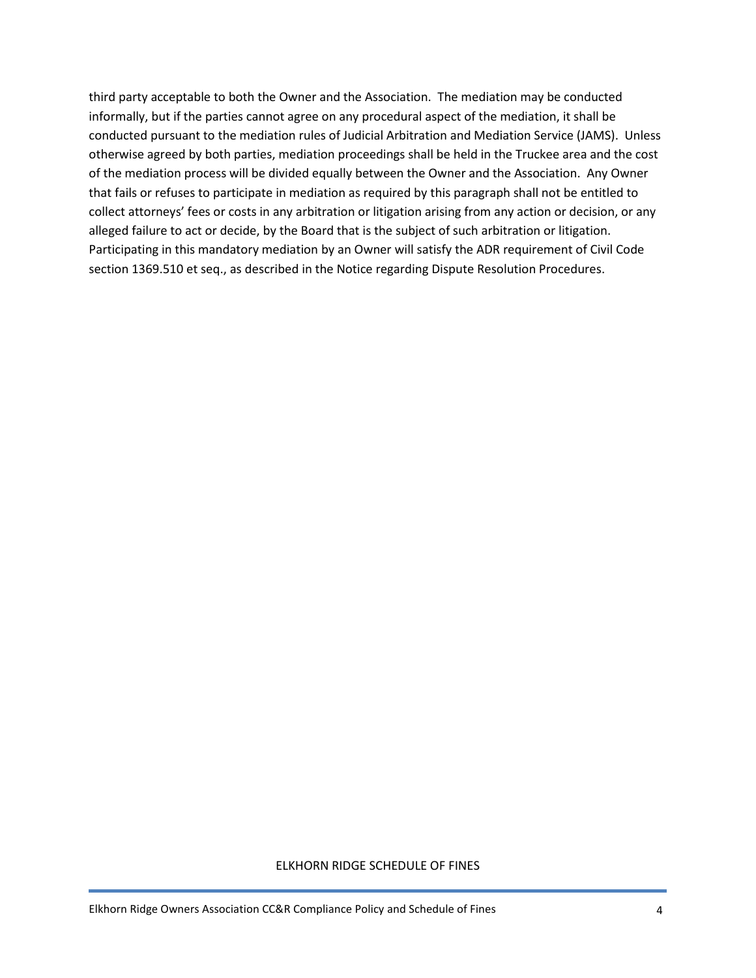third party acceptable to both the Owner and the Association. The mediation may be conducted informally, but if the parties cannot agree on any procedural aspect of the mediation, it shall be conducted pursuant to the mediation rules of Judicial Arbitration and Mediation Service (JAMS). Unless otherwise agreed by both parties, mediation proceedings shall be held in the Truckee area and the cost of the mediation process will be divided equally between the Owner and the Association. Any Owner that fails or refuses to participate in mediation as required by this paragraph shall not be entitled to collect attorneys' fees or costs in any arbitration or litigation arising from any action or decision, or any alleged failure to act or decide, by the Board that is the subject of such arbitration or litigation. Participating in this mandatory mediation by an Owner will satisfy the ADR requirement of Civil Code section 1369.510 et seq., as described in the Notice regarding Dispute Resolution Procedures.

## ELKHORN RIDGE SCHEDULE OF FINES